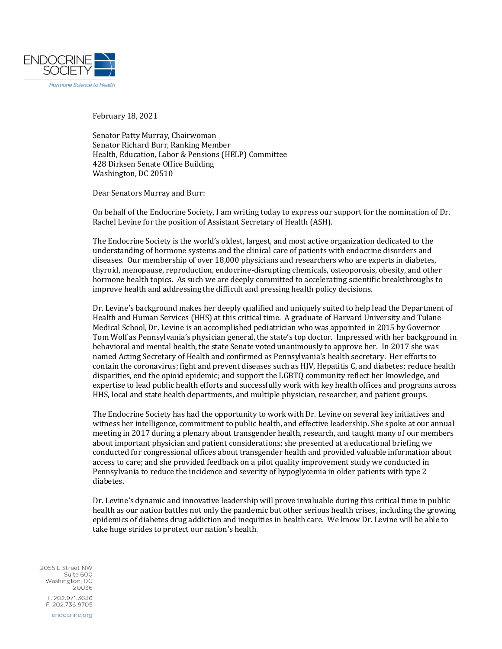

February 18, 2021

Senator Patty Murray, Chairwoman Senator Richard Burr, Ranking Member Health, Education, Labor & Pensions (HELP) Committee 428 Dirksen Senate Office Building Washington, DC 20510

Dear Senators Murray and Burr:

On behalf of the Endocrine Society, I am writing today to express our support for the nomination of Dr. Rachel Levine for the position of Assistant Secretary of Health (ASH).

The Endocrine Society is the world's oldest, largest, and most active organization dedicated to the understanding of hormone systems and the clinical care of patients with endocrine disorders and diseases. Our membership of over 18,000 physicians and researchers who are experts in diabetes, thyroid, menopause, reproduction, endocrine-disrupting chemicals, osteoporosis, obesity, and other hormone health topics. As such we are deeply committed to accelerating scientific breakthroughs to improve health and addressing the difficult and pressing health policy decisions.

Dr. Levine's background makes her deeply qualified and uniquely suited to help lead the Department of Health and Human Services (HHS) at this critical time. A graduate of Harvard University and Tulane Medical School, Dr. Levine is an accomplished pediatrician who was appointed in 2015 by Governor Tom Wolf as Pennsylvania's physician general, the state's top doctor. Impressed with her background in behavioral and mental health, the state Senate voted unanimously to approve her. In 2017 she was named Acting Secretary of Health and confirmed as Pennsylvania's health secretary. Her efforts to contain the coronavirus; fight and prevent diseases such as HIV, Hepatitis C, and diabetes; reduce health disparities, end the opioid epidemic; and support the LGBTQ community reflect her knowledge, and expertise to lead public health efforts and successfully work with key health offices and programs across HHS, local and state health departments, and multiple physician, researcher, and patient groups.

The Endocrine Society has had the opportunity to work with Dr. Levine on several key initiatives and witness her intelligence, commitment to public health, and effective leadership. She spoke at our annual meeting in 2017 during a plenary about transgender health, research, and taught many of our members about important physician and patient considerations; she presented at a educational briefing we conducted for congressional offices about transgender health and provided valuable information about access to care; and she provided feedback on a pilot quality improvement study we conducted in Pennsylvania to reduce the incidence and severity of hypoglycemia in older patients with type 2 diabetes.

Dr. Levine's dynamic and innovative leadership will prove invaluable during this critical time in public health as our nation battles not only the pandemic but other serious health crises, including the growing epidemics of diabetes drug addiction and inequities in health care. We know Dr. Levine will be able to take huge strides to protect our nation's health.

2055 L. Street NW Suite 600 Washington, DC 20036 T. 202.971.3636 F. 202.736.9705 endocrine.org